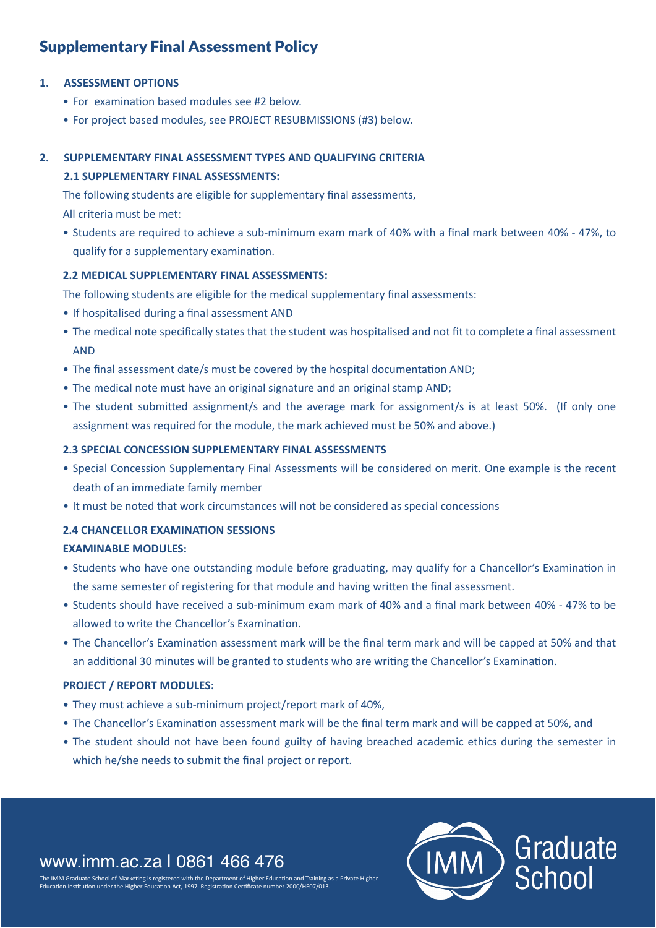# Supplementary Final Assessment Policy

# **1. ASSESSMENT OPTIONS**

- For examination based modules see #2 below.
- For project based modules, see PROJECT RESUBMISSIONS (#3) below.

# **2. SUPPLEMENTARY FINAL ASSESSMENT TYPES AND QUALIFYING CRITERIA 2.1 SUPPLEMENTARY FINAL ASSESSMENTS:**

The following students are eligible for supplementary final assessments,

All criteria must be met:

• Students are required to achieve a sub-minimum exam mark of 40% with a final mark between 40% - 47%, to qualify for a supplementary examination.

#### **2.2 MEDICAL SUPPLEMENTARY FINAL ASSESSMENTS:**

The following students are eligible for the medical supplementary final assessments:

- If hospitalised during a final assessment AND
- The medical note specifically states that the student was hospitalised and not fit to complete a final assessment AND
- The final assessment date/s must be covered by the hospital documentation AND;
- The medical note must have an original signature and an original stamp AND;
- The student submitted assignment/s and the average mark for assignment/s is at least 50%. (If only one assignment was required for the module, the mark achieved must be 50% and above.)

#### **2.3 SPECIAL CONCESSION SUPPLEMENTARY FINAL ASSESSMENTS**

- Special Concession Supplementary Final Assessments will be considered on merit. One example is the recent death of an immediate family member
- It must be noted that work circumstances will not be considered as special concessions

# **2.4 CHANCELLOR EXAMINATION SESSIONS**

#### **EXAMINABLE MODULES:**

- Students who have one outstanding module before graduating, may qualify for a Chancellor's Examination in the same semester of registering for that module and having written the final assessment.
- Students should have received a sub-minimum exam mark of 40% and a final mark between 40% 47% to be allowed to write the Chancellor's Examination.
- The Chancellor's Examination assessment mark will be the final term mark and will be capped at 50% and that an additional 30 minutes will be granted to students who are writing the Chancellor's Examination.

# **PROJECT / REPORT MODULES:**

- They must achieve a sub-minimum project/report mark of 40%,
- The Chancellor's Examination assessment mark will be the final term mark and will be capped at 50%, and
- The student should not have been found guilty of having breached academic ethics during the semester in which he/she needs to submit the final project or report.

# www.imm.ac.za | 0861 466 476

The IMM Graduate School of Marketing is registered with the Department of Higher Education and Training as a Private Higher ation Institution under the Higher Education Act, 1997. Registration Certificate number 2000/HE07/013

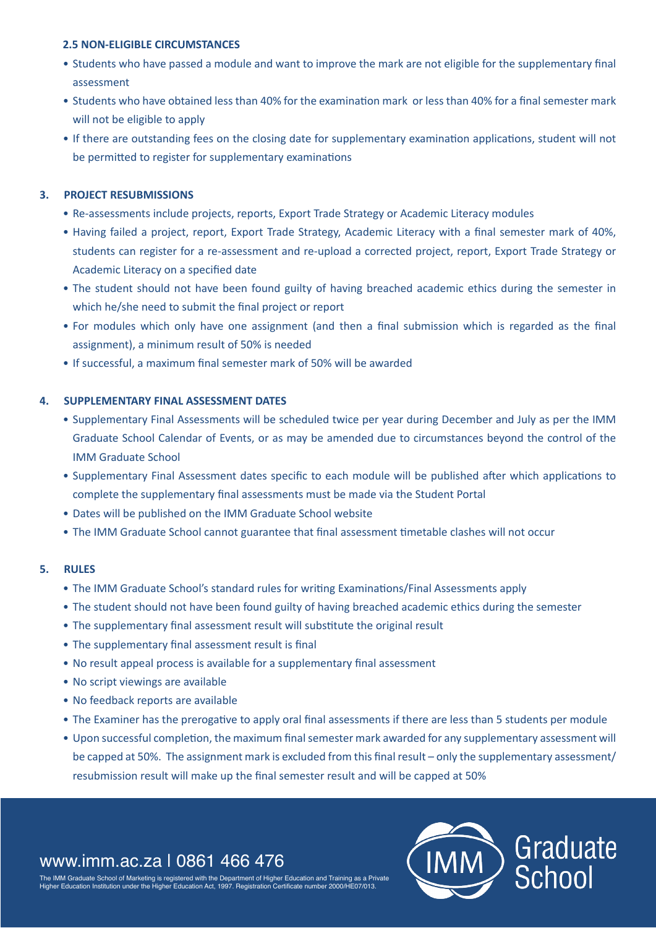#### **2.5 NON-ELIGIBLE CIRCUMSTANCES**

- Students who have passed a module and want to improve the mark are not eligible for the supplementary final assessment
- Students who have obtained less than 40% for the examination mark or less than 40% for a final semester mark will not be eligible to apply
- If there are outstanding fees on the closing date for supplementary examination applications, student will not be permitted to register for supplementary examinations

# **3. PROJECT RESUBMISSIONS**

- Re-assessments include projects, reports, Export Trade Strategy or Academic Literacy modules
- Having failed a project, report, Export Trade Strategy, Academic Literacy with a final semester mark of 40%, students can register for a re-assessment and re-upload a corrected project, report, Export Trade Strategy or Academic Literacy on a specified date
- The student should not have been found guilty of having breached academic ethics during the semester in which he/she need to submit the final project or report
- For modules which only have one assignment (and then a final submission which is regarded as the final assignment), a minimum result of 50% is needed
- If successful, a maximum final semester mark of 50% will be awarded

#### **4. SUPPLEMENTARY FINAL ASSESSMENT DATES**

- Supplementary Final Assessments will be scheduled twice per year during December and July as per the IMM Graduate School Calendar of Events, or as may be amended due to circumstances beyond the control of the IMM Graduate School
- Supplementary Final Assessment dates specific to each module will be published after which applications to complete the supplementary final assessments must be made via the Student Portal
- Dates will be published on the IMM Graduate School website
- The IMM Graduate School cannot guarantee that final assessment timetable clashes will not occur

#### **5. RULES**

- The IMM Graduate School's standard rules for writing Examinations/Final Assessments apply
- The student should not have been found guilty of having breached academic ethics during the semester
- The supplementary final assessment result will substitute the original result
- The supplementary final assessment result is final
- No result appeal process is available for a supplementary final assessment
- No script viewings are available
- No feedback reports are available
- The Examiner has the prerogative to apply oral final assessments if there are less than 5 students per module
- Upon successful completion, the maximum final semester mark awarded for any supplementary assessment will be capped at 50%. The assignment mark is excluded from this final result – only the supplementary assessment/ resubmission result will make up the final semester result and will be capped at 50%

# www.imm.ac.za | 0861 466 476

the IMM Graduate School of Training is a Servate with the Department of Higher Education and Training as a Private  $\tilde{C}$ ortificate number 2000/HE07/011